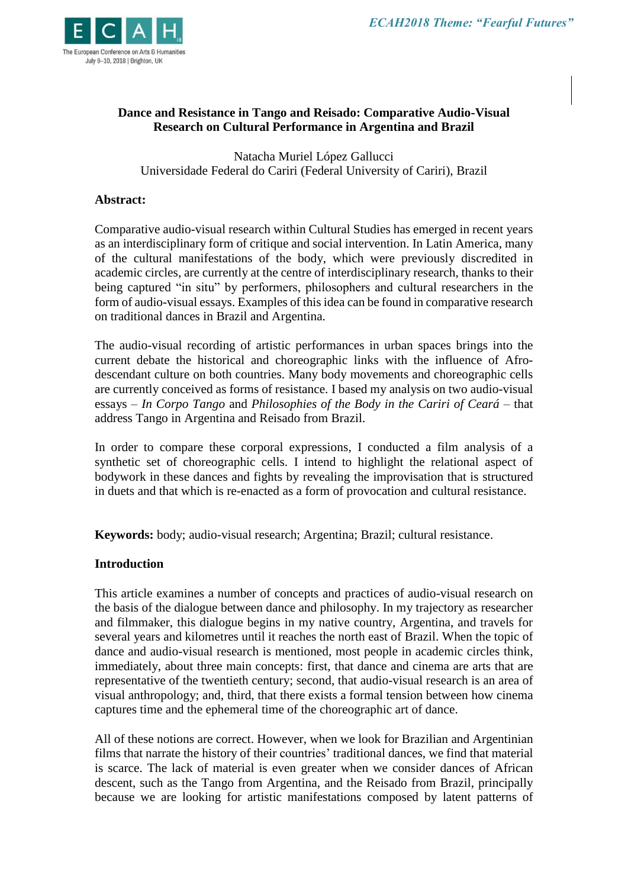

## **Dance and Resistance in Tango and Reisado: Comparative Audio-Visual Research on Cultural Performance in Argentina and Brazil**

Natacha Muriel López Gallucci Universidade Federal do Cariri (Federal University of Cariri), Brazil

### **Abstract:**

Comparative audio-visual research within Cultural Studies has emerged in recent years as an interdisciplinary form of critique and social intervention. In Latin America, many of the cultural manifestations of the body, which were previously discredited in academic circles, are currently at the centre of interdisciplinary research, thanks to their being captured "in situ" by performers, philosophers and cultural researchers in the form of audio-visual essays. Examples of this idea can be found in comparative research on traditional dances in Brazil and Argentina.

The audio-visual recording of artistic performances in urban spaces brings into the current debate the historical and choreographic links with the influence of Afrodescendant culture on both countries. Many body movements and choreographic cells are currently conceived as forms of resistance. I based my analysis on two audio-visual essays – *In Corpo Tango* and *Philosophies of the Body in the Cariri of Ceará* – that address Tango in Argentina and Reisado from Brazil.

In order to compare these corporal expressions, I conducted a film analysis of a synthetic set of choreographic cells. I intend to highlight the relational aspect of bodywork in these dances and fights by revealing the improvisation that is structured in duets and that which is re-enacted as a form of provocation and cultural resistance.

**Keywords:** body; audio-visual research; Argentina; Brazil; cultural resistance.

### **Introduction**

This article examines a number of concepts and practices of audio-visual research on the basis of the dialogue between dance and philosophy. In my trajectory as researcher and filmmaker, this dialogue begins in my native country, Argentina, and travels for several years and kilometres until it reaches the north east of Brazil. When the topic of dance and audio-visual research is mentioned, most people in academic circles think, immediately, about three main concepts: first, that dance and cinema are arts that are representative of the twentieth century; second, that audio-visual research is an area of visual anthropology; and, third, that there exists a formal tension between how cinema captures time and the ephemeral time of the choreographic art of dance.

All of these notions are correct. However, when we look for Brazilian and Argentinian films that narrate the history of their countries' traditional dances, we find that material is scarce. The lack of material is even greater when we consider dances of African descent, such as the Tango from Argentina, and the Reisado from Brazil, principally because we are looking for artistic manifestations composed by latent patterns of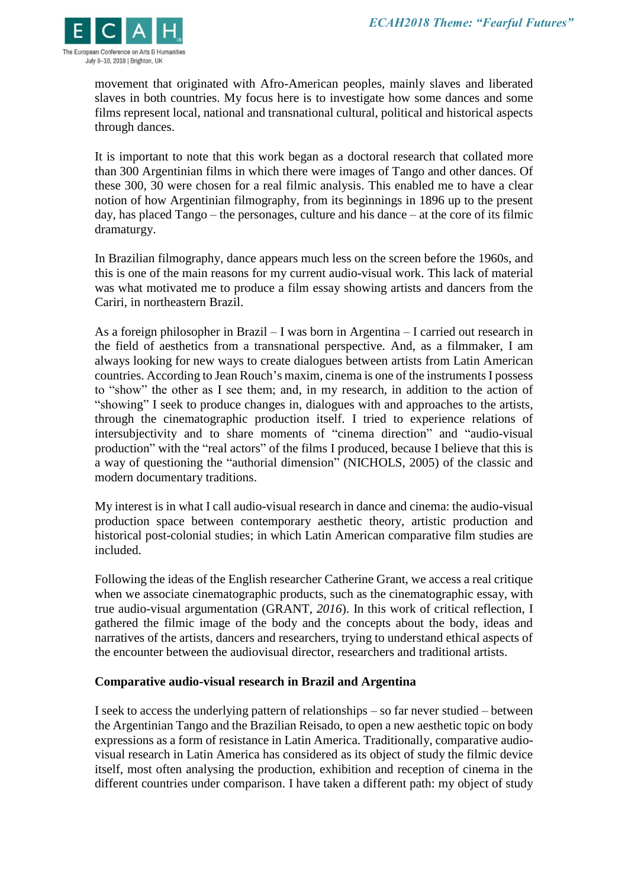

movement that originated with Afro-American peoples, mainly slaves and liberated slaves in both countries. My focus here is to investigate how some dances and some films represent local, national and transnational cultural, political and historical aspects through dances.

It is important to note that this work began as a doctoral research that collated more than 300 Argentinian films in which there were images of Tango and other dances. Of these 300, 30 were chosen for a real filmic analysis. This enabled me to have a clear notion of how Argentinian filmography, from its beginnings in 1896 up to the present day, has placed Tango – the personages, culture and his dance – at the core of its filmic dramaturgy.

In Brazilian filmography, dance appears much less on the screen before the 1960s, and this is one of the main reasons for my current audio-visual work. This lack of material was what motivated me to produce a film essay showing artists and dancers from the Cariri, in northeastern Brazil.

As a foreign philosopher in Brazil – I was born in Argentina – I carried out research in the field of aesthetics from a transnational perspective. And, as a filmmaker, I am always looking for new ways to create dialogues between artists from Latin American countries. According to Jean Rouch's maxim, cinema is one of the instruments I possess to "show" the other as I see them; and, in my research, in addition to the action of "showing" I seek to produce changes in, dialogues with and approaches to the artists, through the cinematographic production itself. I tried to experience relations of intersubjectivity and to share moments of "cinema direction" and "audio-visual production" with the "real actors" of the films I produced, because I believe that this is a way of questioning the "authorial dimension" (NICHOLS, 2005) of the classic and modern documentary traditions.

My interest is in what I call audio-visual research in dance and cinema: the audio-visual production space between contemporary aesthetic theory, artistic production and historical post-colonial studies; in which Latin American comparative film studies are included.

Following the ideas of the English researcher Catherine Grant, we access a real critique when we associate cinematographic products, such as the cinematographic essay, with true audio-visual argumentation (GRANT, *2016*). In this work of critical reflection, I gathered the filmic image of the body and the concepts about the body, ideas and narratives of the artists, dancers and researchers, trying to understand ethical aspects of the encounter between the audiovisual director, researchers and traditional artists.

### **Comparative audio-visual research in Brazil and Argentina**

I seek to access the underlying pattern of relationships – so far never studied – between the Argentinian Tango and the Brazilian Reisado, to open a new aesthetic topic on body expressions as a form of resistance in Latin America. Traditionally, comparative audiovisual research in Latin America has considered as its object of study the filmic device itself, most often analysing the production, exhibition and reception of cinema in the different countries under comparison. I have taken a different path: my object of study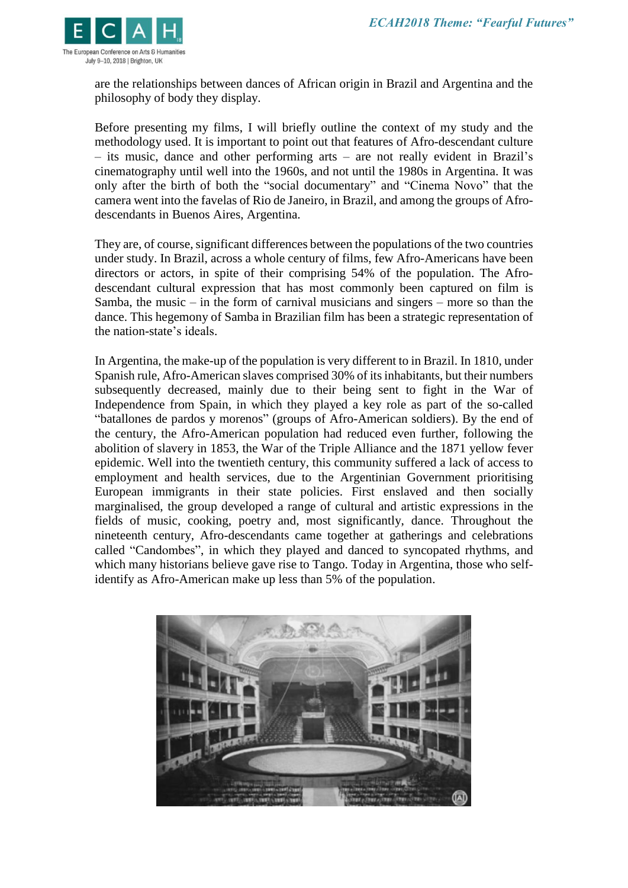

are the relationships between dances of African origin in Brazil and Argentina and the philosophy of body they display.

Before presenting my films, I will briefly outline the context of my study and the methodology used. It is important to point out that features of Afro-descendant culture – its music, dance and other performing arts – are not really evident in Brazil's cinematography until well into the 1960s, and not until the 1980s in Argentina. It was only after the birth of both the "social documentary" and "Cinema Novo" that the camera went into the favelas of Rio de Janeiro, in Brazil, and among the groups of Afrodescendants in Buenos Aires, Argentina.

They are, of course, significant differences between the populations of the two countries under study. In Brazil, across a whole century of films, few Afro-Americans have been directors or actors, in spite of their comprising 54% of the population. The Afrodescendant cultural expression that has most commonly been captured on film is Samba, the music – in the form of carnival musicians and singers – more so than the dance. This hegemony of Samba in Brazilian film has been a strategic representation of the nation-state's ideals.

In Argentina, the make-up of the population is very different to in Brazil. In 1810, under Spanish rule, Afro-American slaves comprised 30% of its inhabitants, but their numbers subsequently decreased, mainly due to their being sent to fight in the War of Independence from Spain, in which they played a key role as part of the so-called "batallones de pardos y morenos" (groups of Afro-American soldiers). By the end of the century, the Afro-American population had reduced even further, following the abolition of slavery in 1853, the War of the Triple Alliance and the 1871 yellow fever epidemic. Well into the twentieth century, this community suffered a lack of access to employment and health services, due to the Argentinian Government prioritising European immigrants in their state policies. First enslaved and then socially marginalised, the group developed a range of cultural and artistic expressions in the fields of music, cooking, poetry and, most significantly, dance. Throughout the nineteenth century, Afro-descendants came together at gatherings and celebrations called "Candombes", in which they played and danced to syncopated rhythms, and which many historians believe gave rise to Tango. Today in Argentina, those who selfidentify as Afro-American make up less than 5% of the population.

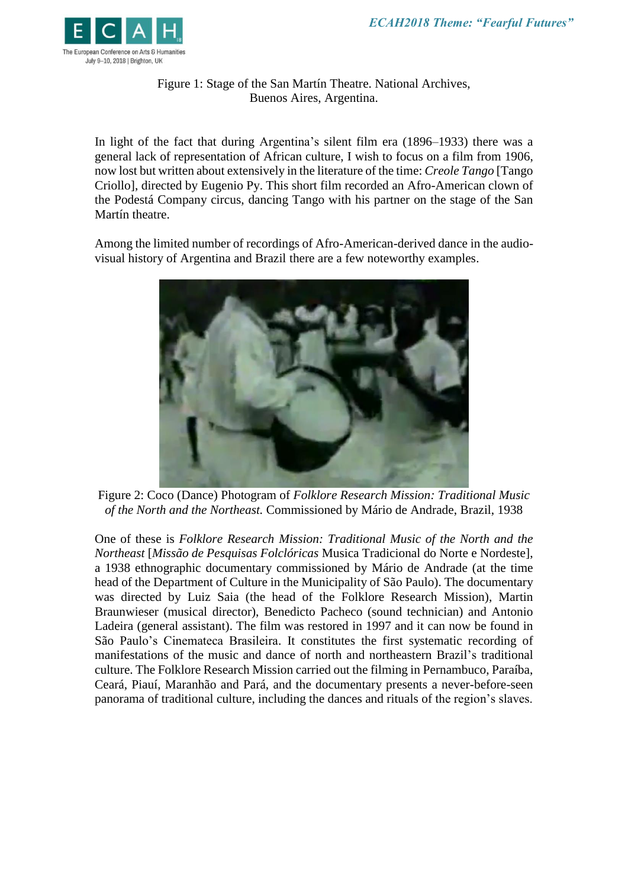

Figure 1: Stage of the San Martín Theatre. National Archives, Buenos Aires, Argentina.

In light of the fact that during Argentina's silent film era (1896–1933) there was a general lack of representation of African culture, I wish to focus on a film from 1906, now lost but written about extensively in the literature of the time: *Creole Tango* [Tango Criollo], directed by Eugenio Py. This short film recorded an Afro-American clown of the Podestá Company circus, dancing Tango with his partner on the stage of the San Martín theatre.

Among the limited number of recordings of Afro-American-derived dance in the audiovisual history of Argentina and Brazil there are a few noteworthy examples.



Figure 2: Coco (Dance) Photogram of *Folklore Research Mission: Traditional Music of the North and the Northeast.* Commissioned by Mário de Andrade, Brazil, 1938

One of these is *Folklore Research Mission: Traditional Music of the North and the Northeast* [*Missão de Pesquisas Folclóricas* Musica Tradicional do Norte e Nordeste], a 1938 ethnographic documentary commissioned by Mário de Andrade (at the time head of the Department of Culture in the Municipality of São Paulo). The documentary was directed by Luiz Saia (the head of the Folklore Research Mission), Martin Braunwieser (musical director), Benedicto Pacheco (sound technician) and Antonio Ladeira (general assistant). The film was restored in 1997 and it can now be found in São Paulo's Cinemateca Brasileira. It constitutes the first systematic recording of manifestations of the music and dance of north and northeastern Brazil's traditional culture. The Folklore Research Mission carried out the filming in Pernambuco, Paraíba, Ceará, Piauí, Maranhão and Pará, and the documentary presents a never-before-seen panorama of traditional culture, including the dances and rituals of the region's slaves.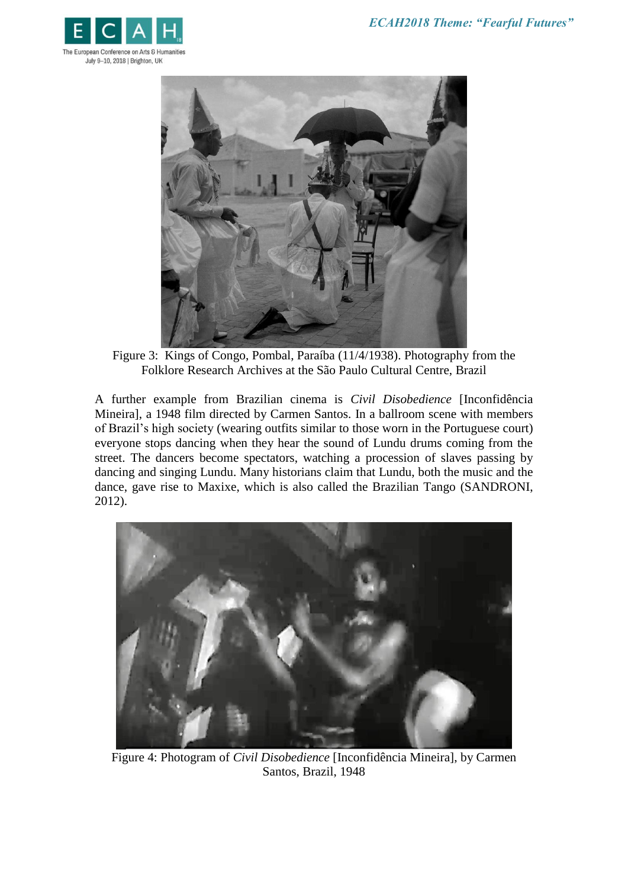



Figure 3: Kings of Congo, Pombal, Paraíba (11/4/1938). Photography from the Folklore Research Archives at the São Paulo Cultural Centre, Brazil

A further example from Brazilian cinema is *Civil Disobedience* [Inconfidência Mineira], a 1948 film directed by Carmen Santos. In a ballroom scene with members of Brazil's high society (wearing outfits similar to those worn in the Portuguese court) everyone stops dancing when they hear the sound of Lundu drums coming from the street. The dancers become spectators, watching a procession of slaves passing by dancing and singing Lundu. Many historians claim that Lundu, both the music and the dance, gave rise to Maxixe, which is also called the Brazilian Tango (SANDRONI, 2012).



Figure 4: Photogram of *Civil Disobedience* [Inconfidência Mineira], by Carmen Santos, Brazil, 1948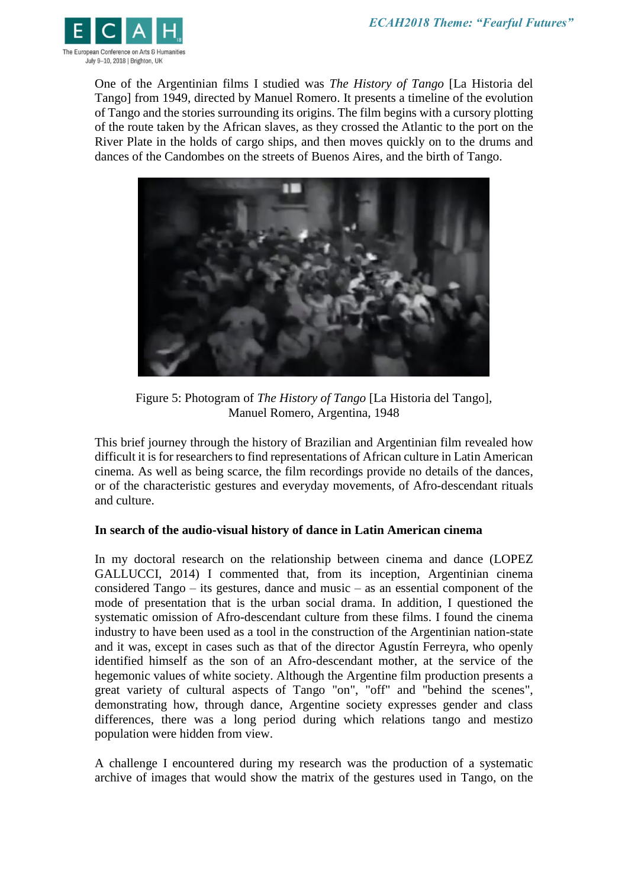

One of the Argentinian films I studied was *The History of Tango* [La Historia del Tango] from 1949, directed by Manuel Romero. It presents a timeline of the evolution of Tango and the stories surrounding its origins. The film begins with a cursory plotting of the route taken by the African slaves, as they crossed the Atlantic to the port on the River Plate in the holds of cargo ships, and then moves quickly on to the drums and dances of the Candombes on the streets of Buenos Aires, and the birth of Tango.



Figure 5: Photogram of *The History of Tango* [La Historia del Tango], Manuel Romero, Argentina, 1948

This brief journey through the history of Brazilian and Argentinian film revealed how difficult it is for researchers to find representations of African culture in Latin American cinema. As well as being scarce, the film recordings provide no details of the dances, or of the characteristic gestures and everyday movements, of Afro-descendant rituals and culture.

# **In search of the audio-visual history of dance in Latin American cinema**

In my doctoral research on the relationship between cinema and dance (LOPEZ GALLUCCI, 2014) I commented that, from its inception, Argentinian cinema considered Tango – its gestures, dance and music – as an essential component of the mode of presentation that is the urban social drama. In addition, I questioned the systematic omission of Afro-descendant culture from these films. I found the cinema industry to have been used as a tool in the construction of the Argentinian nation-state and it was, except in cases such as that of the director Agustín Ferreyra, who openly identified himself as the son of an Afro-descendant mother, at the service of the hegemonic values of white society. Although the Argentine film production presents a great variety of cultural aspects of Tango "on", "off" and "behind the scenes", demonstrating how, through dance, Argentine society expresses gender and class differences, there was a long period during which relations tango and mestizo population were hidden from view.

A challenge I encountered during my research was the production of a systematic archive of images that would show the matrix of the gestures used in Tango, on the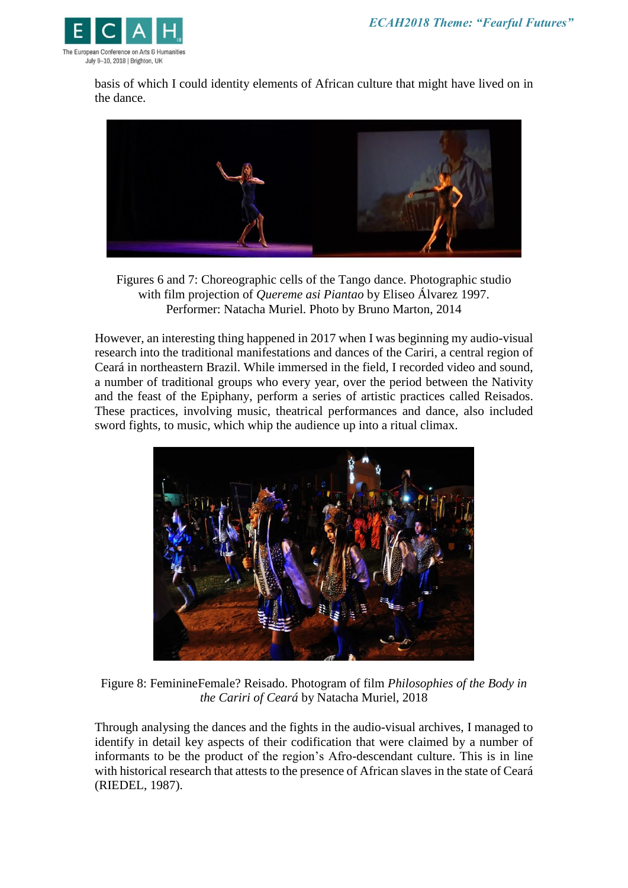

basis of which I could identity elements of African culture that might have lived on in the dance.



Figures 6 and 7: Choreographic cells of the Tango dance. Photographic studio with film projection of *Quereme asi Piantao* by Eliseo Álvarez 1997. Performer: Natacha Muriel. Photo by Bruno Marton, 2014

However, an interesting thing happened in 2017 when I was beginning my audio-visual research into the traditional manifestations and dances of the Cariri, a central region of Ceará in northeastern Brazil. While immersed in the field, I recorded video and sound, a number of traditional groups who every year, over the period between the Nativity and the feast of the Epiphany, perform a series of artistic practices called Reisados. These practices, involving music, theatrical performances and dance, also included sword fights, to music, which whip the audience up into a ritual climax.



Figure 8: FeminineFemale? Reisado. Photogram of film *Philosophies of the Body in the Cariri of Ceará* by Natacha Muriel, 2018

Through analysing the dances and the fights in the audio-visual archives, I managed to identify in detail key aspects of their codification that were claimed by a number of informants to be the product of the region's Afro-descendant culture. This is in line with historical research that attests to the presence of African slaves in the state of Ceará (RIEDEL, 1987).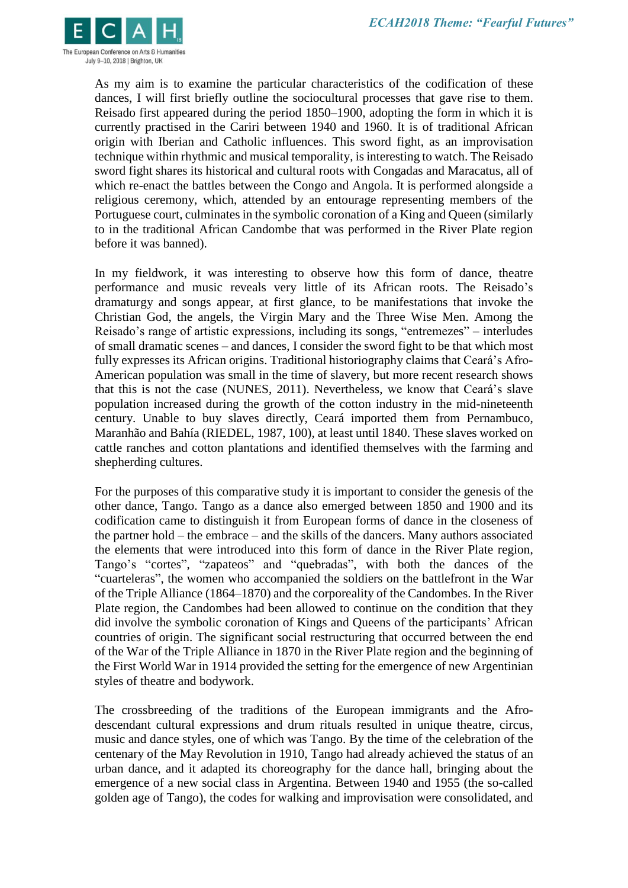

As my aim is to examine the particular characteristics of the codification of these dances, I will first briefly outline the sociocultural processes that gave rise to them. Reisado first appeared during the period 1850–1900, adopting the form in which it is currently practised in the Cariri between 1940 and 1960. It is of traditional African origin with Iberian and Catholic influences. This sword fight, as an improvisation technique within rhythmic and musical temporality, is interesting to watch. The Reisado sword fight shares its historical and cultural roots with Congadas and Maracatus, all of which re-enact the battles between the Congo and Angola. It is performed alongside a religious ceremony, which, attended by an entourage representing members of the Portuguese court, culminates in the symbolic coronation of a King and Queen (similarly to in the traditional African Candombe that was performed in the River Plate region before it was banned).

In my fieldwork, it was interesting to observe how this form of dance, theatre performance and music reveals very little of its African roots. The Reisado's dramaturgy and songs appear, at first glance, to be manifestations that invoke the Christian God, the angels, the Virgin Mary and the Three Wise Men. Among the Reisado's range of artistic expressions, including its songs, "entremezes" – interludes of small dramatic scenes – and dances, I consider the sword fight to be that which most fully expresses its African origins. Traditional historiography claims that Ceará's Afro-American population was small in the time of slavery, but more recent research shows that this is not the case (NUNES, 2011). Nevertheless, we know that Ceará's slave population increased during the growth of the cotton industry in the mid-nineteenth century. Unable to buy slaves directly, Ceará imported them from Pernambuco, Maranhão and Bahía (RIEDEL, 1987, 100), at least until 1840. These slaves worked on cattle ranches and cotton plantations and identified themselves with the farming and shepherding cultures.

For the purposes of this comparative study it is important to consider the genesis of the other dance, Tango. Tango as a dance also emerged between 1850 and 1900 and its codification came to distinguish it from European forms of dance in the closeness of the partner hold – the embrace – and the skills of the dancers. Many authors associated the elements that were introduced into this form of dance in the River Plate region, Tango's "cortes", "zapateos" and "quebradas", with both the dances of the "cuarteleras", the women who accompanied the soldiers on the battlefront in the War of the Triple Alliance (1864–1870) and the corporeality of the Candombes. In the River Plate region, the Candombes had been allowed to continue on the condition that they did involve the symbolic coronation of Kings and Queens of the participants' African countries of origin. The significant social restructuring that occurred between the end of the War of the Triple Alliance in 1870 in the River Plate region and the beginning of the First World War in 1914 provided the setting for the emergence of new Argentinian styles of theatre and bodywork.

The crossbreeding of the traditions of the European immigrants and the Afrodescendant cultural expressions and drum rituals resulted in unique theatre, circus, music and dance styles, one of which was Tango. By the time of the celebration of the centenary of the May Revolution in 1910, Tango had already achieved the status of an urban dance, and it adapted its choreography for the dance hall, bringing about the emergence of a new social class in Argentina. Between 1940 and 1955 (the so-called golden age of Tango), the codes for walking and improvisation were consolidated, and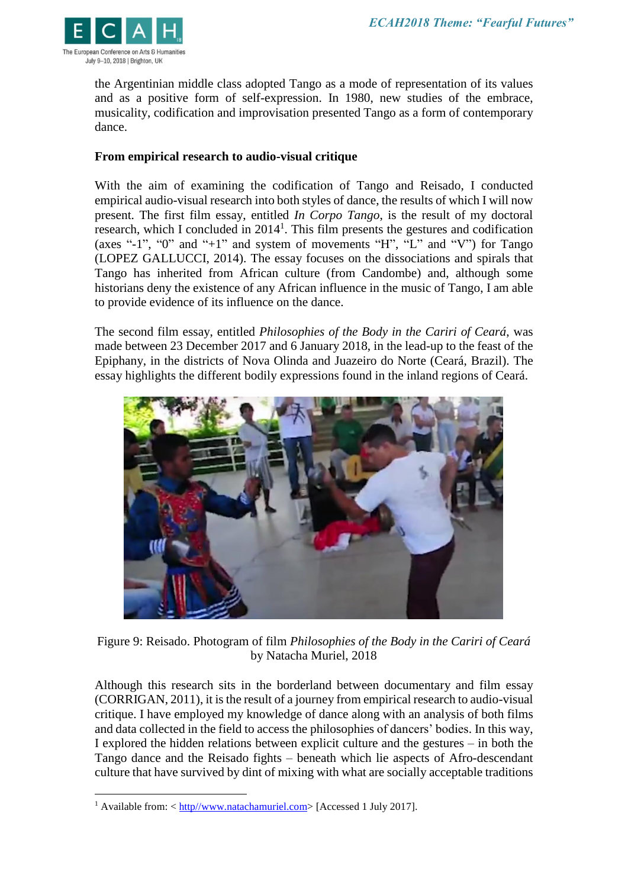

the Argentinian middle class adopted Tango as a mode of representation of its values and as a positive form of self-expression. In 1980, new studies of the embrace, musicality, codification and improvisation presented Tango as a form of contemporary dance.

### **From empirical research to audio-visual critique**

With the aim of examining the codification of Tango and Reisado, I conducted empirical audio-visual research into both styles of dance, the results of which I will now present. The first film essay, entitled *In Corpo Tango*, is the result of my doctoral research, which I concluded in  $2014<sup>1</sup>$ . This film presents the gestures and codification (axes "-1", "0" and "+1" and system of movements "H", "L" and "V") for Tango (LOPEZ GALLUCCI, 2014). The essay focuses on the dissociations and spirals that Tango has inherited from African culture (from Candombe) and, although some historians deny the existence of any African influence in the music of Tango, I am able to provide evidence of its influence on the dance.

The second film essay, entitled *Philosophies of the Body in the Cariri of Ceará*, was made between 23 December 2017 and 6 January 2018, in the lead-up to the feast of the Epiphany, in the districts of Nova Olinda and Juazeiro do Norte (Ceará, Brazil). The essay highlights the different bodily expressions found in the inland regions of Ceará.



Figure 9: Reisado. Photogram of film *Philosophies of the Body in the Cariri of Ceará* by Natacha Muriel, 2018

Although this research sits in the borderland between documentary and film essay (CORRIGAN, 2011), it is the result of a journey from empirical research to audio-visual critique. I have employed my knowledge of dance along with an analysis of both films and data collected in the field to access the philosophies of dancers' bodies. In this way, I explored the hidden relations between explicit culture and the gestures – in both the Tango dance and the Reisado fights – beneath which lie aspects of Afro-descendant culture that have survived by dint of mixing with what are socially acceptable traditions

 $\overline{a}$ 

<sup>&</sup>lt;sup>1</sup> Available from:  $\langle \frac{http://www.natachamuriel.com>}{$  [Accessed 1 July 2017].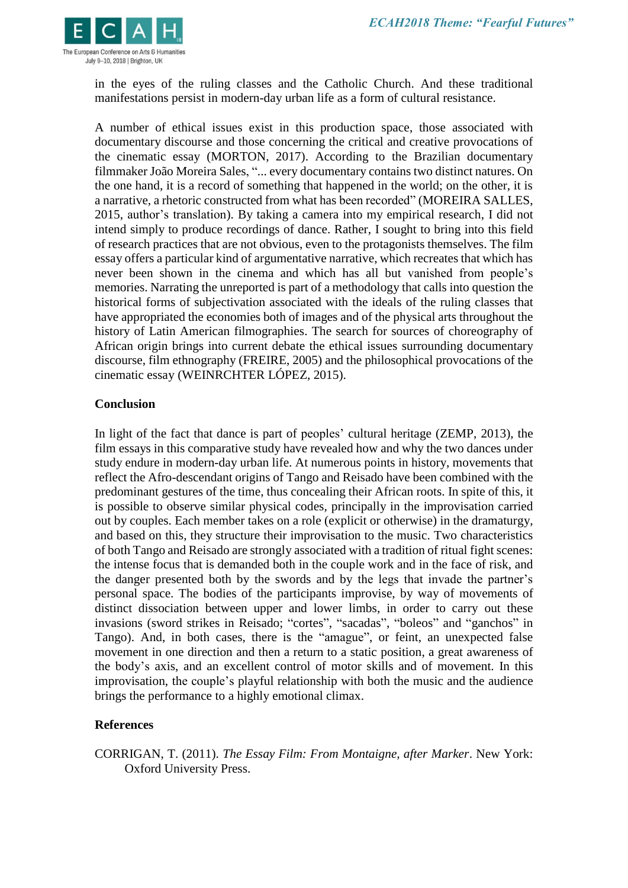

in the eyes of the ruling classes and the Catholic Church. And these traditional manifestations persist in modern-day urban life as a form of cultural resistance.

A number of ethical issues exist in this production space, those associated with documentary discourse and those concerning the critical and creative provocations of the cinematic essay (MORTON, 2017). According to the Brazilian documentary filmmaker João Moreira Sales, "... every documentary contains two distinct natures. On the one hand, it is a record of something that happened in the world; on the other, it is a narrative, a rhetoric constructed from what has been recorded" (MOREIRA SALLES, 2015, author's translation). By taking a camera into my empirical research, I did not intend simply to produce recordings of dance. Rather, I sought to bring into this field of research practices that are not obvious, even to the protagonists themselves. The film essay offers a particular kind of argumentative narrative, which recreates that which has never been shown in the cinema and which has all but vanished from people's memories. Narrating the unreported is part of a methodology that calls into question the historical forms of subjectivation associated with the ideals of the ruling classes that have appropriated the economies both of images and of the physical arts throughout the history of Latin American filmographies. The search for sources of choreography of African origin brings into current debate the ethical issues surrounding documentary discourse, film ethnography (FREIRE, 2005) and the philosophical provocations of the cinematic essay (WEINRCHTER LÓPEZ, 2015).

### **Conclusion**

In light of the fact that dance is part of peoples' cultural heritage (ZEMP, 2013), the film essays in this comparative study have revealed how and why the two dances under study endure in modern-day urban life. At numerous points in history, movements that reflect the Afro-descendant origins of Tango and Reisado have been combined with the predominant gestures of the time, thus concealing their African roots. In spite of this, it is possible to observe similar physical codes, principally in the improvisation carried out by couples. Each member takes on a role (explicit or otherwise) in the dramaturgy, and based on this, they structure their improvisation to the music. Two characteristics of both Tango and Reisado are strongly associated with a tradition of ritual fight scenes: the intense focus that is demanded both in the couple work and in the face of risk, and the danger presented both by the swords and by the legs that invade the partner's personal space. The bodies of the participants improvise, by way of movements of distinct dissociation between upper and lower limbs, in order to carry out these invasions (sword strikes in Reisado; "cortes", "sacadas", "boleos" and "ganchos" in Tango). And, in both cases, there is the "amague", or feint, an unexpected false movement in one direction and then a return to a static position, a great awareness of the body's axis, and an excellent control of motor skills and of movement. In this improvisation, the couple's playful relationship with both the music and the audience brings the performance to a highly emotional climax.

### **References**

CORRIGAN, T. (2011). *The Essay Film: From Montaigne, after Marker*. New York: Oxford University Press.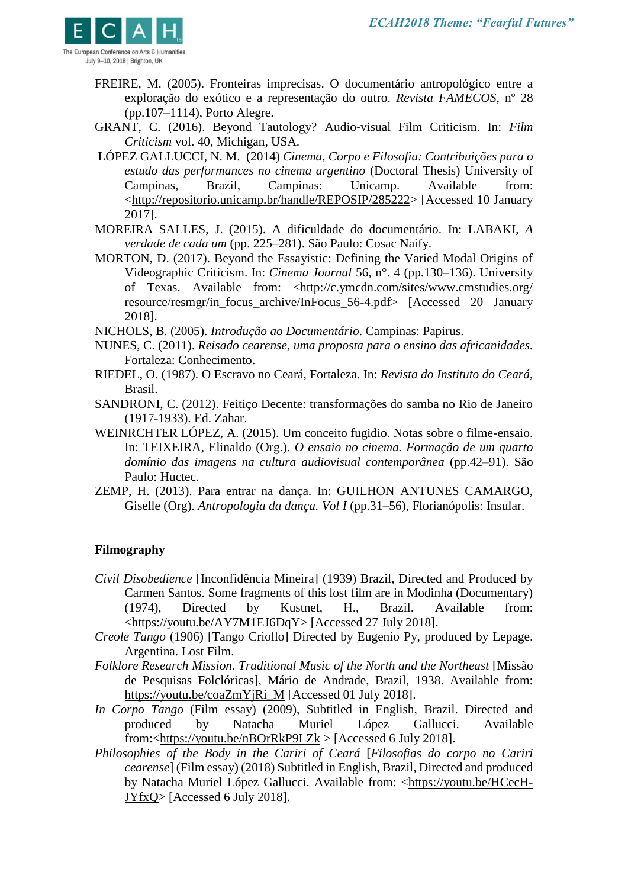

- FREIRE, M. (2005). Fronteiras imprecisas. O documentário antropológico entre a exploração do exótico e a representação do outro. *Revista FAMECOS,* nº 28 (pp.107–1114), Porto Alegre.
- GRANT, C. (2016). Beyond Tautology? Audio-visual Film Criticism. In: *Film Criticism* vol. 40, Michigan, USA.
- LÓPEZ GALLUCCI, N. M. (2014) *Cinema, Corpo e Filosofia: Contribuições para o estudo das performances no cinema argentino* (Doctoral Thesis) University of Campinas, Brazil, Campinas: Unicamp. Available from: [<http://repositorio.unicamp.br/handle/REPOSIP/285222>](http://repositorio.unicamp.br/handle/REPOSIP/285222) [Accessed 10 January 2017].
- MOREIRA SALLES, J. (2015). A dificuldade do documentário. In: LABAKI, *A verdade de cada um* (pp. 225–281). São Paulo: Cosac Naify.
- MORTON, D. (2017). Beyond the Essayistic: Defining the Varied Modal Origins of Videographic Criticism. In: *Cinema Journal* 56, n°. 4 (pp.130–136). University of Texas. Available from: <http://c.ymcdn.com/sites/www.cmstudies.org/ resource/resmgr/in\_focus\_archive/InFocus\_56-4.pdf> [Accessed 20 January 2018].

NICHOLS, B. (2005). *Introdução ao Documentário*. Campinas: Papirus.

- NUNES, C. (2011). *Reisado cearense, uma proposta para o ensino das africanidades.* Fortaleza: Conhecimento.
- RIEDEL, O. (1987). O Escravo no Ceará*,* Fortaleza. In: *Revista do Instituto do Ceará*, Brasil.
- SANDRONI, C. (2012). Feitiço Decente: transformações do samba no Rio de Janeiro (1917-1933). Ed. Zahar.
- WEINRCHTER LÓPEZ, A. (2015). Um conceito fugidio. Notas sobre o filme-ensaio. In: TEIXEIRA, Elinaldo (Org.). *O ensaio no cinema. Formação de um quarto domínio das imagens na cultura audiovisual contemporânea* (pp.42–91). São Paulo: Huctec.
- ZEMP, H. (2013). Para entrar na dança. In: GUILHON ANTUNES CAMARGO, Giselle (Org). *Antropologia da dança. Vol I* (pp.31–56), Florianópolis: Insular.

# **Filmography**

- *Civil Disobedience* [Inconfidência Mineira] (1939) Brazil, Directed and Produced by Carmen Santos. Some fragments of this lost film are in Modinha (Documentary) (1974), Directed by Kustnet, H., Brazil. Available from: [<https://youtu.be/AY7M1EJ6DqY>](https://youtu.be/AY7M1EJ6DqY) [Accessed 27 July 2018].
- *Creole Tango* (1906) [Tango Criollo] Directed by Eugenio Py, produced by Lepage. Argentina. Lost Film.
- *Folklore Research Mission. Traditional Music of the North and the Northeast* [Missão de Pesquisas Folclóricas], Mário de Andrade, Brazil, 1938. Available from: [https://youtu.be/coaZmYjRi\\_M](https://youtu.be/coaZmYjRi_M) [Accessed 01 July 2018].
- *In Corpo Tango* (Film essay) (2009), Subtitled in English, Brazil. Directed and produced by Natacha Muriel López Gallucci. Available from:[<https://youtu.be/nBOrRkP9LZk](https://youtu.be/nBOrRkP9LZk) > [Accessed 6 July 2018].
- *Philosophies of the Body in the Cariri of Ceará* [*Filosofias do corpo no Cariri cearense*] (Film essay) (2018) Subtitled in English, Brazil, Directed and produced by Natacha Muriel López Gallucci. Available from: [<https://youtu.be/HCecH-](https://youtu.be/HCecH-JYfxQ)[JYfxQ>](https://youtu.be/HCecH-JYfxQ) [Accessed 6 July 2018].